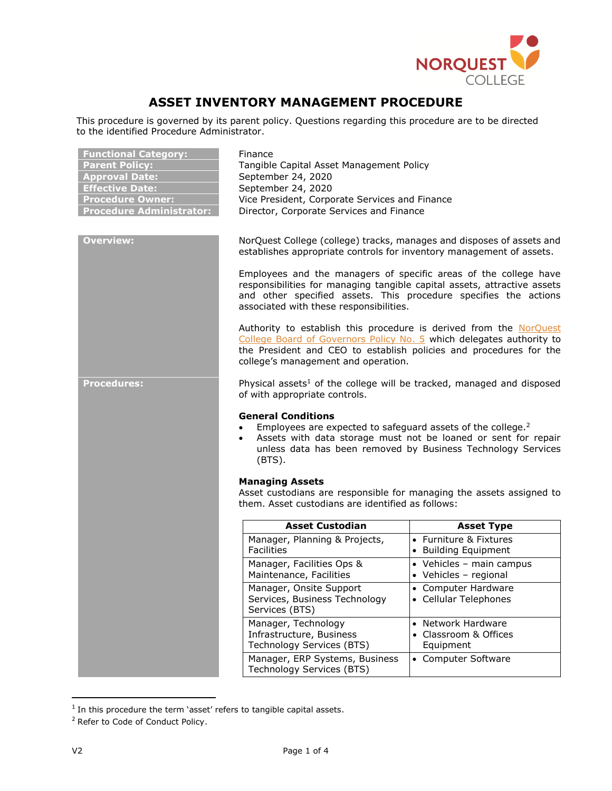

# **ASSET INVENTORY MANAGEMENT PROCEDURE**

This procedure is governed by its parent policy. Questions regarding this procedure are to be directed to the identified Procedure Administrator.

| <b>Functional Category:</b><br><b>Parent Policy:</b><br><b>Approval Date:</b><br><b>Effective Date:</b><br><b>Procedure Owner:</b><br><b>Procedure Administrator:</b> | Finance<br>Tangible Capital Asset Management Policy<br>September 24, 2020<br>September 24, 2020<br>Vice President, Corporate Services and Finance<br>Director, Corporate Services and Finance                                                                                                                                                                                                                                                                                                                                                                                                                                                                           |                                                          |  |
|-----------------------------------------------------------------------------------------------------------------------------------------------------------------------|-------------------------------------------------------------------------------------------------------------------------------------------------------------------------------------------------------------------------------------------------------------------------------------------------------------------------------------------------------------------------------------------------------------------------------------------------------------------------------------------------------------------------------------------------------------------------------------------------------------------------------------------------------------------------|----------------------------------------------------------|--|
| <b>Overview:</b>                                                                                                                                                      | NorQuest College (college) tracks, manages and disposes of assets and<br>establishes appropriate controls for inventory management of assets.<br>Employees and the managers of specific areas of the college have<br>responsibilities for managing tangible capital assets, attractive assets<br>and other specified assets. This procedure specifies the actions<br>associated with these responsibilities.<br>Authority to establish this procedure is derived from the NorQuest<br>College Board of Governors Policy No. 5 which delegates authority to<br>the President and CEO to establish policies and procedures for the<br>college's management and operation. |                                                          |  |
|                                                                                                                                                                       |                                                                                                                                                                                                                                                                                                                                                                                                                                                                                                                                                                                                                                                                         |                                                          |  |
|                                                                                                                                                                       |                                                                                                                                                                                                                                                                                                                                                                                                                                                                                                                                                                                                                                                                         |                                                          |  |
| <b>Procedures:</b>                                                                                                                                                    | Physical assets <sup>1</sup> of the college will be tracked, managed and disposed<br>of with appropriate controls.                                                                                                                                                                                                                                                                                                                                                                                                                                                                                                                                                      |                                                          |  |
|                                                                                                                                                                       | <b>General Conditions</b><br>Employees are expected to safeguard assets of the college. <sup>2</sup><br>$\bullet$<br>Assets with data storage must not be loaned or sent for repair<br>$\bullet$<br>unless data has been removed by Business Technology Services<br>$(BTS)$ .                                                                                                                                                                                                                                                                                                                                                                                           |                                                          |  |
|                                                                                                                                                                       | <b>Managing Assets</b><br>Asset custodians are responsible for managing the assets assigned to<br>them. Asset custodians are identified as follows:                                                                                                                                                                                                                                                                                                                                                                                                                                                                                                                     |                                                          |  |
|                                                                                                                                                                       | <b>Asset Custodian</b>                                                                                                                                                                                                                                                                                                                                                                                                                                                                                                                                                                                                                                                  | <b>Asset Type</b>                                        |  |
|                                                                                                                                                                       | Manager, Planning & Projects,<br><b>Facilities</b>                                                                                                                                                                                                                                                                                                                                                                                                                                                                                                                                                                                                                      | • Furniture & Fixtures<br>• Building Equipment           |  |
|                                                                                                                                                                       | Manager, Facilities Ops &<br>Maintenance, Facilities                                                                                                                                                                                                                                                                                                                                                                                                                                                                                                                                                                                                                    | • Vehicles - main campus<br>• Vehicles - regional        |  |
|                                                                                                                                                                       | Manager, Onsite Support<br>Services, Business Technology<br>Services (BTS)                                                                                                                                                                                                                                                                                                                                                                                                                                                                                                                                                                                              | • Computer Hardware<br>• Cellular Telephones             |  |
|                                                                                                                                                                       | Manager, Technology<br>Infrastructure, Business<br>Technology Services (BTS)                                                                                                                                                                                                                                                                                                                                                                                                                                                                                                                                                                                            | • Network Hardware<br>• Classroom & Offices<br>Equipment |  |
|                                                                                                                                                                       | Manager, ERP Systems, Business<br>Technology Services (BTS)                                                                                                                                                                                                                                                                                                                                                                                                                                                                                                                                                                                                             | • Computer Software                                      |  |

l

 $1$  In this procedure the term 'asset' refers to tangible capital assets.

<sup>&</sup>lt;sup>2</sup> Refer to Code of Conduct Policy.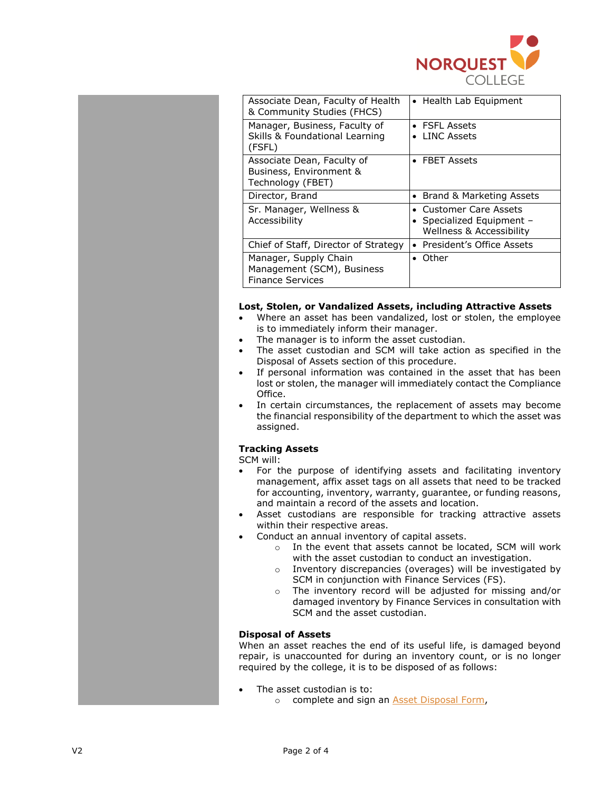

| Associate Dean, Faculty of Health<br>& Community Studies (FHCS)                | • Health Lab Equipment                                                                     |
|--------------------------------------------------------------------------------|--------------------------------------------------------------------------------------------|
| Manager, Business, Faculty of<br>Skills & Foundational Learning<br>(FSFL)      | $\bullet$ FSFL Assets<br>LINC Assets                                                       |
| Associate Dean, Faculty of<br>Business, Environment &<br>Technology (FBET)     | $\bullet$ FBET Assets                                                                      |
| Director, Brand                                                                | • Brand & Marketing Assets                                                                 |
| Sr. Manager, Wellness &<br>Accessibility                                       | • Customer Care Assets<br>• Specialized Equipment -<br><b>Wellness &amp; Accessibility</b> |
| Chief of Staff, Director of Strategy                                           | • President's Office Assets                                                                |
| Manager, Supply Chain<br>Management (SCM), Business<br><b>Finance Services</b> | $\bullet$ Other                                                                            |

### **Lost, Stolen, or Vandalized Assets, including Attractive Assets**

- Where an asset has been vandalized, lost or stolen, the employee is to immediately inform their manager.
- The manager is to inform the asset custodian.
- The asset custodian and SCM will take action as specified in the Disposal of Assets section of this procedure.
- If personal information was contained in the asset that has been lost or stolen, the manager will immediately contact the Compliance Office.
- In certain circumstances, the replacement of assets may become the financial responsibility of the department to which the asset was assigned.

## **Tracking Assets**

SCM will:

- For the purpose of identifying assets and facilitating inventory management, affix asset tags on all assets that need to be tracked for accounting, inventory, warranty, guarantee, or funding reasons, and maintain a record of the assets and location.
- Asset custodians are responsible for tracking attractive assets within their respective areas.
- Conduct an annual inventory of capital assets.
	- o In the event that assets cannot be located, SCM will work with the asset custodian to conduct an investigation.
	- o Inventory discrepancies (overages) will be investigated by SCM in conjunction with Finance Services (FS).
	- o The inventory record will be adjusted for missing and/or damaged inventory by Finance Services in consultation with SCM and the asset custodian.

### **Disposal of Assets**

When an asset reaches the end of its useful life, is damaged beyond repair, is unaccounted for during an inventory count, or is no longer required by the college, it is to be disposed of as follows:

- The asset custodian is to:
	- o complete and sign an [Asset Disposal Form,](https://theq.norquest.ca/Departments/IPFS/Public-Documents/Forms/Asset-Disposal-Form.aspx)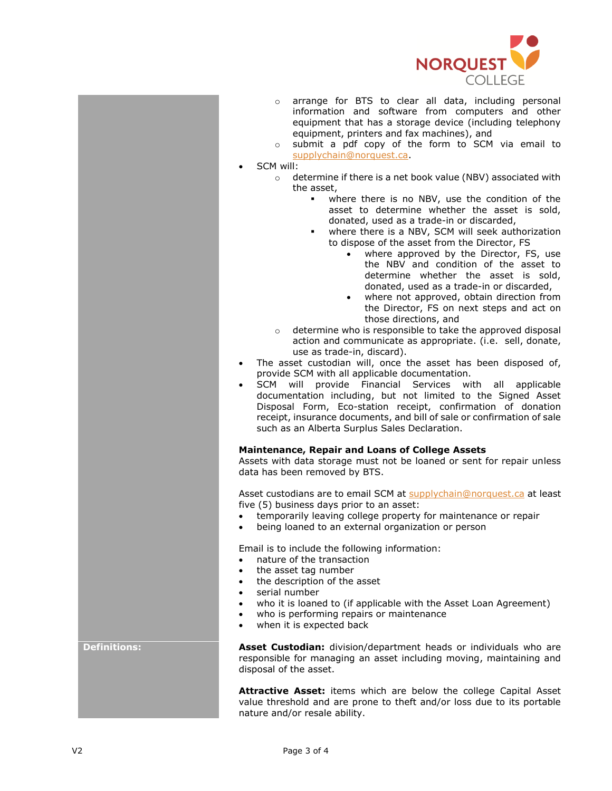

- o arrange for BTS to clear all data, including personal information and software from computers and other equipment that has a storage device (including telephony equipment, printers and fax machines), and
- o submit a pdf copy of the form to SCM via email to [supplychain@norquest.ca.](mailto:supplychain@norquest.ca)
- SCM will:
	- o determine if there is a net book value (NBV) associated with the asset,
		- where there is no NBV, use the condition of the asset to determine whether the asset is sold, donated, used as a trade-in or discarded,
		- where there is a NBV, SCM will seek authorization to dispose of the asset from the Director, FS
			- where approved by the Director, FS, use the NBV and condition of the asset to determine whether the asset is sold, donated, used as a trade-in or discarded,
			- where not approved, obtain direction from the Director, FS on next steps and act on those directions, and
		- o determine who is responsible to take the approved disposal action and communicate as appropriate. (i.e. sell, donate, use as trade-in, discard).
- The asset custodian will, once the asset has been disposed of, provide SCM with all applicable documentation.
- SCM will provide Financial Services with all applicable documentation including, but not limited to the Signed Asset Disposal Form, Eco-station receipt, confirmation of donation receipt, insurance documents, and bill of sale or confirmation of sale such as an Alberta Surplus Sales Declaration.

### **Maintenance, Repair and Loans of College Assets**

Assets with data storage must not be loaned or sent for repair unless data has been removed by BTS.

Asset custodians are to email SCM at [supplychain@norquest.ca](mailto:supplychain@norquest.ca) at least five (5) business days prior to an asset:

- temporarily leaving college property for maintenance or repair
- being loaned to an external organization or person

Email is to include the following information:

- nature of the transaction
- the asset tag number
- the description of the asset
- serial number
- who it is loaned to (if applicable with the Asset Loan Agreement)
- who is performing repairs or maintenance
- when it is expected back

**Definitions: Asset Custodian:** division/department heads or individuals who are responsible for managing an asset including moving, maintaining and disposal of the asset.

> **Attractive Asset:** items which are below the college Capital Asset value threshold and are prone to theft and/or loss due to its portable nature and/or resale ability.